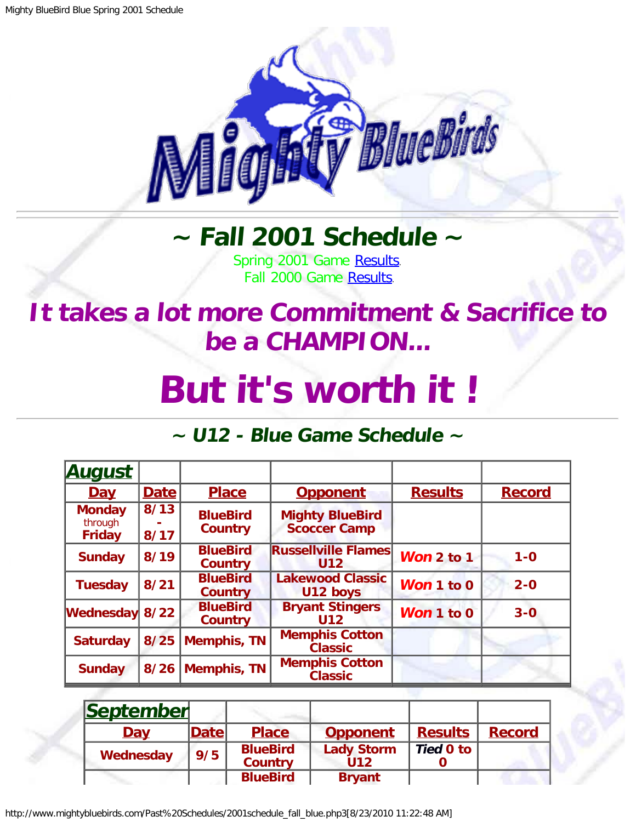

## **~ Fall 2001 Schedule ~**

Spring 2001 Game [Results.](http://www.mightybluebirds.com/Past%20Schedules/2001schedule_spring_blue.php3) Fall 2000 Game [Results.](http://www.mightybluebirds.com/Past%20Schedules/2000schedule_fall_blue.php3)

## <span id="page-0-0"></span>**It takes a lot more Commitment & Sacrifice to be a CHAMPION...**

## **But it's worth it !**

## **~ U12 - Blue Game Schedule ~**

| <b>August</b>                             |              |                                   |                                               |                |               |
|-------------------------------------------|--------------|-----------------------------------|-----------------------------------------------|----------------|---------------|
| <u>Day</u>                                | Date         | <b>Place</b>                      | <b>Opponent</b>                               | <b>Results</b> | <b>Record</b> |
| <b>Monday</b><br>through<br><b>Friday</b> | 8/13<br>8/17 | <b>BlueBird</b><br><b>Country</b> | <b>Mighty BlueBird</b><br><b>Scoccer Camp</b> |                |               |
| <b>Sunday</b>                             | 8/19         | <b>BlueBird</b><br><b>Country</b> | <b>Russellville Flames</b><br>U <sub>12</sub> | Won 2 to 1     | $1 - 0$       |
| <b>Tuesday</b>                            | 8/21         | <b>BlueBird</b><br><b>Country</b> | <b>Lakewood Classic</b><br>U12 boys           | Won 1 to 0     | $2 - 0$       |
| <b>Wednesday</b>                          | $8/22$       | <b>BlueBird</b><br><b>Country</b> | <b>Bryant Stingers</b><br><b>U12</b>          | Won 1 to 0     | $3-0$         |
| <b>Saturday</b>                           | 8/25         | <b>Memphis, TN</b>                | <b>Memphis Cotton</b><br><b>Classic</b>       |                |               |
| <b>Sunday</b>                             | 8/26         | <b>Memphis, TN</b>                | <b>Memphis Cotton</b><br><b>Classic</b>       |                |               |

| September  |       |                                   |                          |                |               |
|------------|-------|-----------------------------------|--------------------------|----------------|---------------|
| <b>Day</b> | Datel | <b>Place</b>                      | <b>Opponent</b>          | <b>Results</b> | <b>Record</b> |
| Wednesday  | 9/5   | <b>BlueBird</b><br><b>Country</b> | <b>Lady Storm</b><br>U12 | Tied 0 to      |               |
|            |       | <b>BlueBird</b>                   | <b>Bryant</b>            |                |               |

http://www.mightybluebirds.com/Past%20Schedules/2001schedule\_fall\_blue.php3[8/23/2010 11:22:48 AM]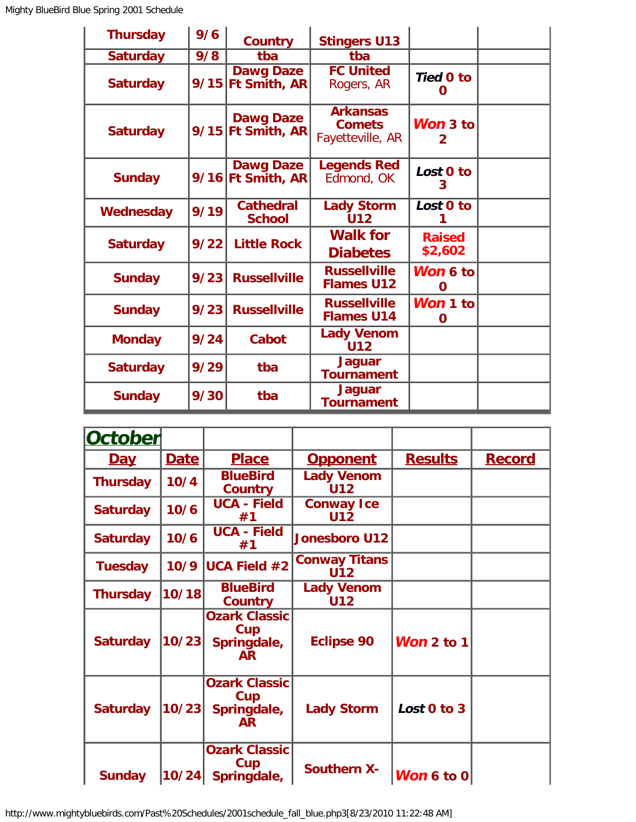| <b>Thursday</b> | 9/6  | <b>Country</b>                          | <b>Stingers U13</b>                                  |                          |  |
|-----------------|------|-----------------------------------------|------------------------------------------------------|--------------------------|--|
| <b>Saturday</b> | 9/8  | tba                                     | tba                                                  |                          |  |
| <b>Saturday</b> |      | <b>Dawg Daze</b><br>9/15 Ft Smith, AR   | <b>FC United</b><br>Rogers, AR                       | <b>Tied 0 to</b><br>O    |  |
| <b>Saturday</b> |      | <b>Dawg Daze</b><br>$9/15$ Ft Smith, AR | <b>Arkansas</b><br><b>Comets</b><br>Fayetteville, AR | Won 3 to<br>$\mathbf{2}$ |  |
| <b>Sunday</b>   |      | <b>Dawg Daze</b><br>9/16 Ft Smith, AR   | <b>Legends Red</b><br>Edmond, OK                     | Lost 0 to<br>3           |  |
| Wednesday       | 9/19 | <b>Cathedral</b><br><b>School</b>       | <b>Lady Storm</b><br><b>U12</b>                      | Lost 0 to                |  |
| <b>Saturday</b> | 9/22 | <b>Little Rock</b>                      | <b>Walk for</b><br><b>Diabetes</b>                   | <b>Raised</b><br>\$2,602 |  |
| <b>Sunday</b>   | 9/23 | <b>Russellville</b>                     | <b>Russellville</b><br><b>Flames U12</b>             | Won 6 to<br>0            |  |
| <b>Sunday</b>   | 9/23 | <b>Russellville</b>                     | <b>Russellville</b><br><b>Flames U14</b>             | Won 1 to<br>O            |  |
| <b>Monday</b>   | 9/24 | Cabot                                   | <b>Lady Venom</b><br><b>U12</b>                      |                          |  |
| <b>Saturday</b> | 9/29 | tba                                     | <b>Jaguar</b><br><b>Tournament</b>                   |                          |  |
| <b>Sunday</b>   | 9/30 | tba                                     | <b>Jaguar</b><br><b>Tournament</b>                   |                          |  |

| October         |             |                                                         |                                    |                |               |
|-----------------|-------------|---------------------------------------------------------|------------------------------------|----------------|---------------|
| <u>Day</u>      | <b>Date</b> | <b>Place</b>                                            | <b>Opponent</b>                    | <b>Results</b> | <b>Record</b> |
| <b>Thursday</b> | 10/4        | <b>BlueBird</b><br>Country                              | <b>Lady Venom</b><br><b>U12</b>    |                |               |
| <b>Saturday</b> | 10/6        | <b>UCA - Field</b><br>#1                                | <b>Conway Ice</b><br><b>U12</b>    |                |               |
| <b>Saturday</b> | 10/6        | <b>UCA - Field</b><br>#1                                | <b>Jonesboro U12</b>               |                |               |
| <b>Tuesday</b>  | 10/9        | <b>UCA Field <math>#2</math></b>                        | <b>Conway Titans</b><br><b>U12</b> |                |               |
| <b>Thursday</b> | 10/18       | <b>BlueBird</b><br><b>Country</b>                       | <b>Lady Venom</b><br>U12           |                |               |
| <b>Saturday</b> | 10/23       | <b>Ozark Classic</b><br>Cup<br>Springdale,<br><b>AR</b> | <b>Eclipse 90</b>                  | Won $2$ to $1$ |               |
| <b>Saturday</b> | 10/23       | <b>Ozark Classic</b><br>Cup<br>Springdale,<br><b>AR</b> | <b>Lady Storm</b>                  | Lost 0 to 3    |               |
| <b>Sunday</b>   | 10/24       | <b>Ozark Classic</b><br>Cup<br>Springdale,              | <b>Southern X-</b>                 | Won 6 to $0$   |               |